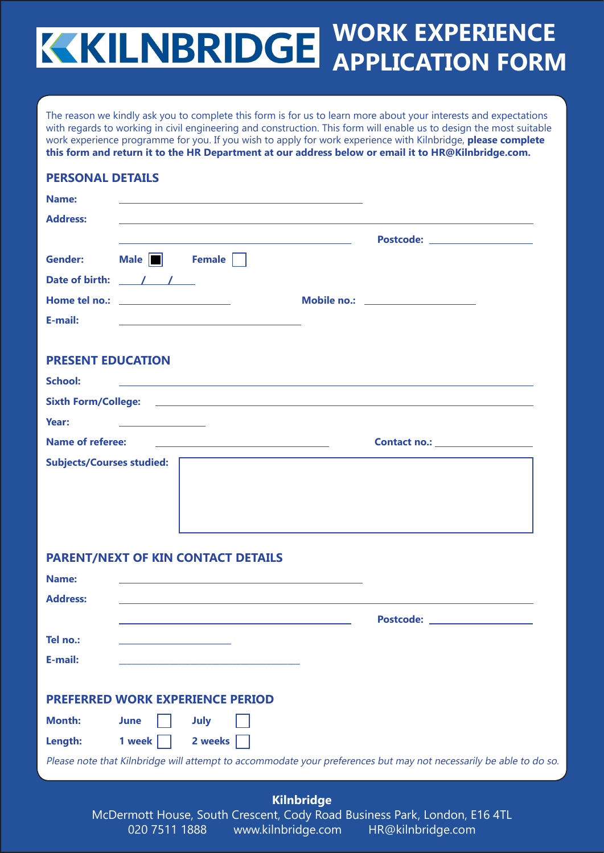## **WORK EXPERIENCE APPLICATION FORM**

The reason we kindly ask you to complete this form is for us to learn more about your interests and expectations with regards to working in civil engineering and construction. This form will enable us to design the most suitable work experience programme for you. If you wish to apply for work experience with Kilnbridge, **please complete this form and return it to the HR Department at our address below or email it to HR@Kilnbridge.com.**

#### **PERSONAL DETAILS**

| Name:                                           |                                              |                                                                  |                                  |
|-------------------------------------------------|----------------------------------------------|------------------------------------------------------------------|----------------------------------|
| <b>Address:</b>                                 |                                              |                                                                  |                                  |
|                                                 |                                              | <u> 1989 - Andrea Stadt Britain, amerikansk politik (* 1908)</u> | Postcode: ______________________ |
| <b>Gender:</b>                                  |                                              | Male <b>B</b> Female                                             |                                  |
| Date of birth: $\frac{1}{\sqrt{1-\frac{1}{2}}}$ |                                              |                                                                  |                                  |
|                                                 |                                              |                                                                  |                                  |
| E-mail:                                         |                                              |                                                                  |                                  |
| <b>PRESENT EDUCATION</b>                        |                                              |                                                                  |                                  |
| <b>School:</b>                                  |                                              |                                                                  |                                  |
|                                                 |                                              |                                                                  |                                  |
| Year:                                           | the control of the control of the control of |                                                                  |                                  |
| Name of referee:                                |                                              |                                                                  |                                  |
| <b>Subjects/Courses studied:</b>                |                                              |                                                                  |                                  |
|                                                 |                                              |                                                                  |                                  |
|                                                 |                                              |                                                                  |                                  |
|                                                 |                                              |                                                                  |                                  |
|                                                 |                                              | <b>PARENT/NEXT OF KIN CONTACT DETAILS</b>                        |                                  |
| Name:                                           |                                              |                                                                  |                                  |
| <b>Address:</b>                                 |                                              |                                                                  |                                  |

 **Postcode: Tel no.: E-mail: \_\_\_\_\_\_\_\_\_\_\_\_\_\_\_\_\_\_\_\_\_\_\_\_\_\_\_\_\_\_\_\_\_\_\_\_\_\_\_\_\_\_\_ PREFERRED WORK EXPERIENCE PERIOD Month: June July** Length: 1 week 2 weeks Please note that Kilnbridge will attempt to accommodate your preferences but may not necessarily be able to do so.

**Kilnbridge** McDermott House, South Crescent, Cody Road Business Park, London, E16 4TL 020 7511 1888 www.kilnbridge.com HR@kilnbridge.com